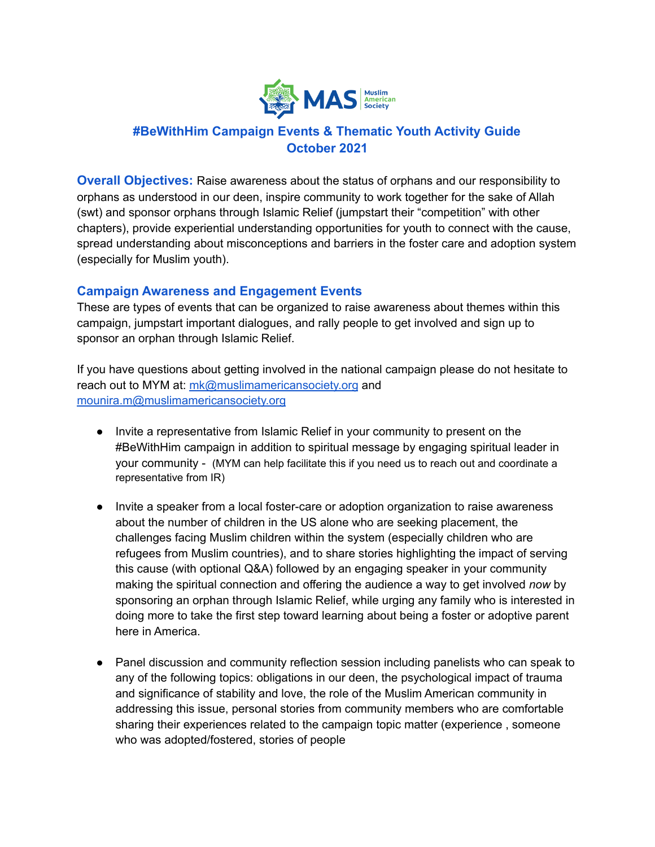

# **#BeWithHim Campaign Events & Thematic Youth Activity Guide October 2021**

**Overall Objectives:** Raise awareness about the status of orphans and our responsibility to orphans as understood in our deen, inspire community to work together for the sake of Allah (swt) and sponsor orphans through Islamic Relief (jumpstart their "competition" with other chapters), provide experiential understanding opportunities for youth to connect with the cause, spread understanding about misconceptions and barriers in the foster care and adoption system (especially for Muslim youth).

## **Campaign Awareness and Engagement Events**

These are types of events that can be organized to raise awareness about themes within this campaign, jumpstart important dialogues, and rally people to get involved and sign up to sponsor an orphan through Islamic Relief.

If you have questions about getting involved in the national campaign please do not hesitate to reach out to MYM at: [mk@muslimamericansociety.org](mailto:mk@muslimamericansociety.org) and [mounira.m@muslimamericansociety.org](mailto:mounira.m@muslimamericansociety.org)

- Invite a representative from Islamic Relief in your community to present on the #BeWithHim campaign in addition to spiritual message by engaging spiritual leader in your community - (MYM can help facilitate this if you need us to reach out and coordinate a representative from IR)
- Invite a speaker from a local foster-care or adoption organization to raise awareness about the number of children in the US alone who are seeking placement, the challenges facing Muslim children within the system (especially children who are refugees from Muslim countries), and to share stories highlighting the impact of serving this cause (with optional Q&A) followed by an engaging speaker in your community making the spiritual connection and offering the audience a way to get involved *now* by sponsoring an orphan through Islamic Relief, while urging any family who is interested in doing more to take the first step toward learning about being a foster or adoptive parent here in America.
- Panel discussion and community reflection session including panelists who can speak to any of the following topics: obligations in our deen, the psychological impact of trauma and significance of stability and love, the role of the Muslim American community in addressing this issue, personal stories from community members who are comfortable sharing their experiences related to the campaign topic matter (experience , someone who was adopted/fostered, stories of people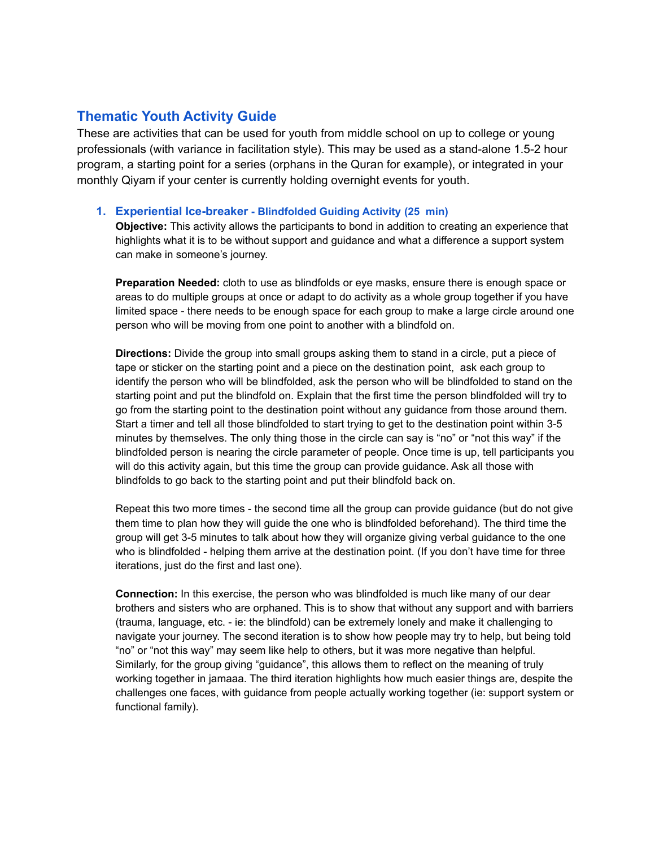# **Thematic Youth Activity Guide**

These are activities that can be used for youth from middle school on up to college or young professionals (with variance in facilitation style). This may be used as a stand-alone 1.5-2 hour program, a starting point for a series (orphans in the Quran for example), or integrated in your monthly Qiyam if your center is currently holding overnight events for youth.

#### **1. Experiential Ice-breaker - Blindfolded Guiding Activity (25 min)**

**Objective:** This activity allows the participants to bond in addition to creating an experience that highlights what it is to be without support and guidance and what a difference a support system can make in someone's journey.

**Preparation Needed:** cloth to use as blindfolds or eye masks, ensure there is enough space or areas to do multiple groups at once or adapt to do activity as a whole group together if you have limited space - there needs to be enough space for each group to make a large circle around one person who will be moving from one point to another with a blindfold on.

**Directions:** Divide the group into small groups asking them to stand in a circle, put a piece of tape or sticker on the starting point and a piece on the destination point, ask each group to identify the person who will be blindfolded, ask the person who will be blindfolded to stand on the starting point and put the blindfold on. Explain that the first time the person blindfolded will try to go from the starting point to the destination point without any guidance from those around them. Start a timer and tell all those blindfolded to start trying to get to the destination point within 3-5 minutes by themselves. The only thing those in the circle can say is "no" or "not this way" if the blindfolded person is nearing the circle parameter of people. Once time is up, tell participants you will do this activity again, but this time the group can provide guidance. Ask all those with blindfolds to go back to the starting point and put their blindfold back on.

Repeat this two more times - the second time all the group can provide guidance (but do not give them time to plan how they will guide the one who is blindfolded beforehand). The third time the group will get 3-5 minutes to talk about how they will organize giving verbal guidance to the one who is blindfolded - helping them arrive at the destination point. (If you don't have time for three iterations, just do the first and last one).

**Connection:** In this exercise, the person who was blindfolded is much like many of our dear brothers and sisters who are orphaned. This is to show that without any support and with barriers (trauma, language, etc. - ie: the blindfold) can be extremely lonely and make it challenging to navigate your journey. The second iteration is to show how people may try to help, but being told "no" or "not this way" may seem like help to others, but it was more negative than helpful. Similarly, for the group giving "guidance", this allows them to reflect on the meaning of truly working together in jamaaa. The third iteration highlights how much easier things are, despite the challenges one faces, with guidance from people actually working together (ie: support system or functional family).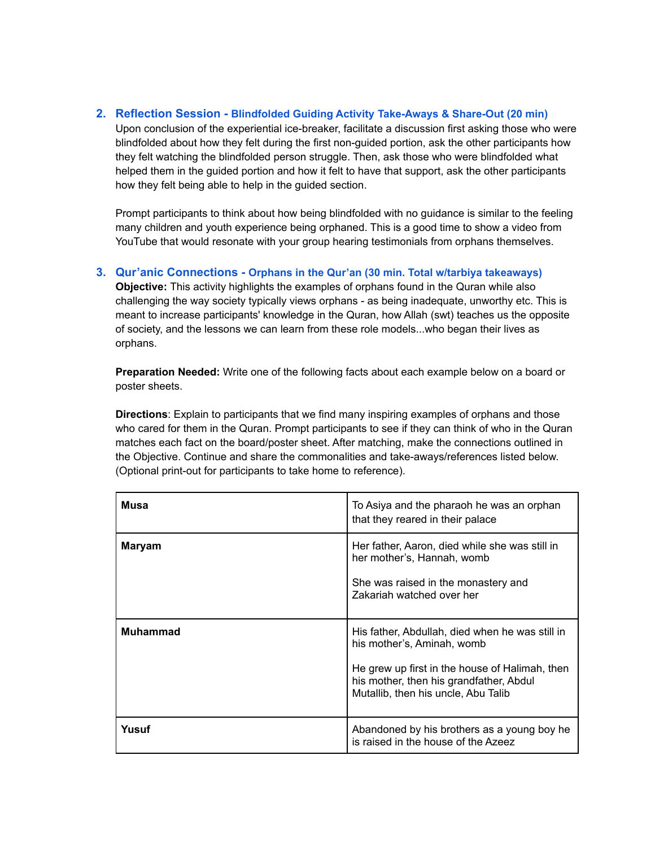#### **2. Reflection Session - Blindfolded Guiding Activity Take-Aways & Share-Out (20 min)**

Upon conclusion of the experiential ice-breaker, facilitate a discussion first asking those who were blindfolded about how they felt during the first non-guided portion, ask the other participants how they felt watching the blindfolded person struggle. Then, ask those who were blindfolded what helped them in the guided portion and how it felt to have that support, ask the other participants how they felt being able to help in the guided section.

Prompt participants to think about how being blindfolded with no guidance is similar to the feeling many children and youth experience being orphaned. This is a good time to show a video from YouTube that would resonate with your group hearing testimonials from orphans themselves.

### **3. Qur'anic Connections - Orphans in the Qur'an (30 min. Total w/tarbiya takeaways)**

**Objective:** This activity highlights the examples of orphans found in the Quran while also challenging the way society typically views orphans - as being inadequate, unworthy etc. This is meant to increase participants' knowledge in the Quran, how Allah (swt) teaches us the opposite of society, and the lessons we can learn from these role models...who began their lives as orphans.

**Preparation Needed:** Write one of the following facts about each example below on a board or poster sheets.

**Directions**: Explain to participants that we find many inspiring examples of orphans and those who cared for them in the Quran. Prompt participants to see if they can think of who in the Quran matches each fact on the board/poster sheet. After matching, make the connections outlined in the Objective. Continue and share the commonalities and take-aways/references listed below. (Optional print-out for participants to take home to reference).

| Musa            | To Asiya and the pharaoh he was an orphan<br>that they reared in their palace                                                                                                                                     |
|-----------------|-------------------------------------------------------------------------------------------------------------------------------------------------------------------------------------------------------------------|
| <b>Maryam</b>   | Her father, Aaron, died while she was still in<br>her mother's, Hannah, womb<br>She was raised in the monastery and<br>Zakariah watched over her                                                                  |
| <b>Muhammad</b> | His father, Abdullah, died when he was still in<br>his mother's, Aminah, womb<br>He grew up first in the house of Halimah, then<br>his mother, then his grandfather, Abdul<br>Mutallib, then his uncle, Abu Talib |
| Yusuf           | Abandoned by his brothers as a young boy he<br>is raised in the house of the Azeez                                                                                                                                |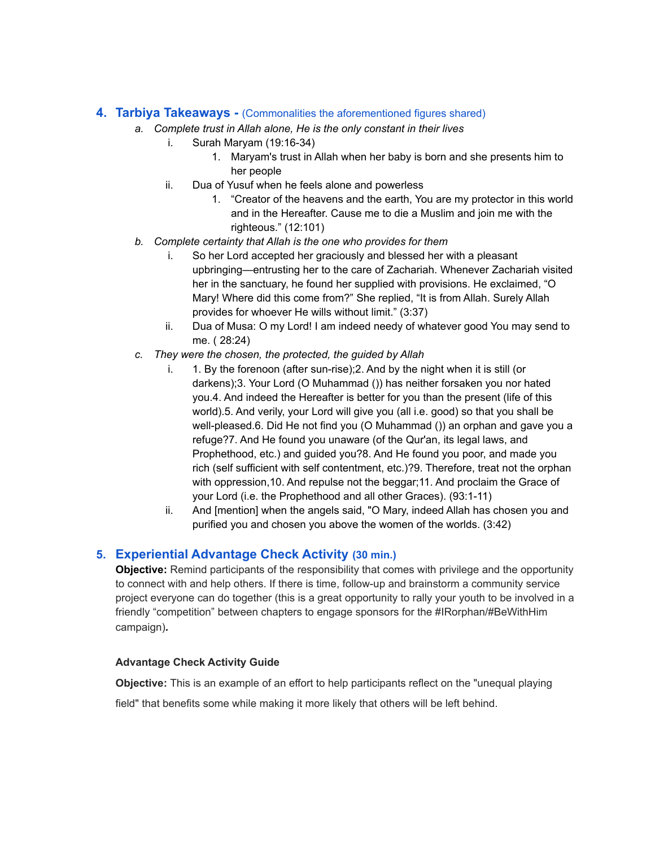#### **4. Tarbiya Takeaways -** (Commonalities the aforementioned figures shared)

- *a. Complete trust in Allah alone, He is the only constant in their lives*
	- i. Surah Maryam (19:16-34)
		- 1. Maryam's trust in Allah when her baby is born and she presents him to her people
	- ii. Dua of Yusuf when he feels alone and powerless
		- 1. "Creator of the heavens and the earth, You are my protector in this world and in the Hereafter. Cause me to die a Muslim and join me with the righteous." (12:101)
- *b. Complete certainty that Allah is the one who provides for them*
	- i. So her Lord accepted her graciously and blessed her with a pleasant upbringing—entrusting her to the care of Zachariah. Whenever Zachariah visited her in the sanctuary, he found her supplied with provisions. He exclaimed, "O Mary! Where did this come from?" She replied, "It is from Allah. Surely Allah provides for whoever He wills without limit." (3:37)
	- ii. Dua of Musa: O my Lord! I am indeed needy of whatever good You may send to me. ( 28:24)
- *c. They were the chosen, the protected, the guided by Allah*
	- i. 1. By the forenoon (after sun-rise);2. And by the night when it is still (or darkens);3. Your Lord (O Muhammad ()) has neither forsaken you nor hated you.4. And indeed the Hereafter is better for you than the present (life of this world).5. And verily, your Lord will give you (all i.e. good) so that you shall be well-pleased.6. Did He not find you (O Muhammad ()) an orphan and gave you a refuge?7. And He found you unaware (of the Qur'an, its legal laws, and Prophethood, etc.) and guided you?8. And He found you poor, and made you rich (self sufficient with self contentment, etc.)?9. Therefore, treat not the orphan with oppression,10. And repulse not the beggar;11. And proclaim the Grace of your Lord (i.e. the Prophethood and all other Graces). (93:1-11)
	- ii. And [mention] when the angels said, "O Mary, indeed Allah has chosen you and purified you and chosen you above the women of the worlds. (3:42)

## **5. Experiential Advantage Check Activity (30 min.)**

**Objective:** Remind participants of the responsibility that comes with privilege and the opportunity to connect with and help others. If there is time, follow-up and brainstorm a community service project everyone can do together (this is a great opportunity to rally your youth to be involved in a friendly "competition" between chapters to engage sponsors for the #IRorphan/#BeWithHim campaign)*.*

#### **Advantage Check Activity Guide**

**Objective:** This is an example of an effort to help participants reflect on the "unequal playing

field" that benefits some while making it more likely that others will be left behind.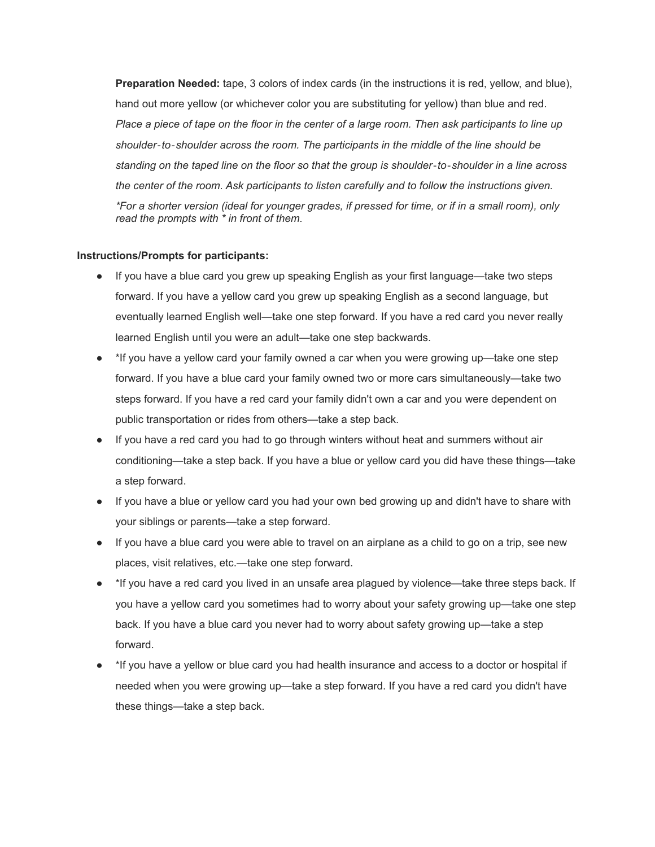**Preparation Needed:** tape, 3 colors of index cards (in the instructions it is red, yellow, and blue), hand out more yellow (or whichever color you are substituting for yellow) than blue and red. Place a piece of tape on the floor in the center of a large room. Then ask participants to line up *shoulder*‐*to*‐*shoulder across the room. The participants in the middle of the line should be* standing on the taped line on the floor so that the group is shoulder-to-shoulder in a line across *the center of the room. Ask participants to listen carefully and to follow the instructions given.* \*For a shorter version (ideal for younger grades, if pressed for time, or if in a small room), only *read the prompts with \* in front of them.*

#### **Instructions/Prompts for participants:**

- If you have a blue card you grew up speaking English as your first language—take two steps forward. If you have a yellow card you grew up speaking English as a second language, but eventually learned English well—take one step forward. If you have a red card you never really learned English until you were an adult—take one step backwards.
- \*If you have a yellow card your family owned a car when you were growing up—take one step forward. If you have a blue card your family owned two or more cars simultaneously—take two steps forward. If you have a red card your family didn't own a car and you were dependent on public transportation or rides from others—take a step back.
- If you have a red card you had to go through winters without heat and summers without air conditioning—take a step back. If you have a blue or yellow card you did have these things—take a step forward.
- If you have a blue or yellow card you had your own bed growing up and didn't have to share with your siblings or parents—take a step forward.
- If you have a blue card you were able to travel on an airplane as a child to go on a trip, see new places, visit relatives, etc.—take one step forward.
- \*If you have a red card you lived in an unsafe area plagued by violence—take three steps back. If you have a yellow card you sometimes had to worry about your safety growing up—take one step back. If you have a blue card you never had to worry about safety growing up—take a step forward.
- \*If you have a yellow or blue card you had health insurance and access to a doctor or hospital if needed when you were growing up—take a step forward. If you have a red card you didn't have these things—take a step back.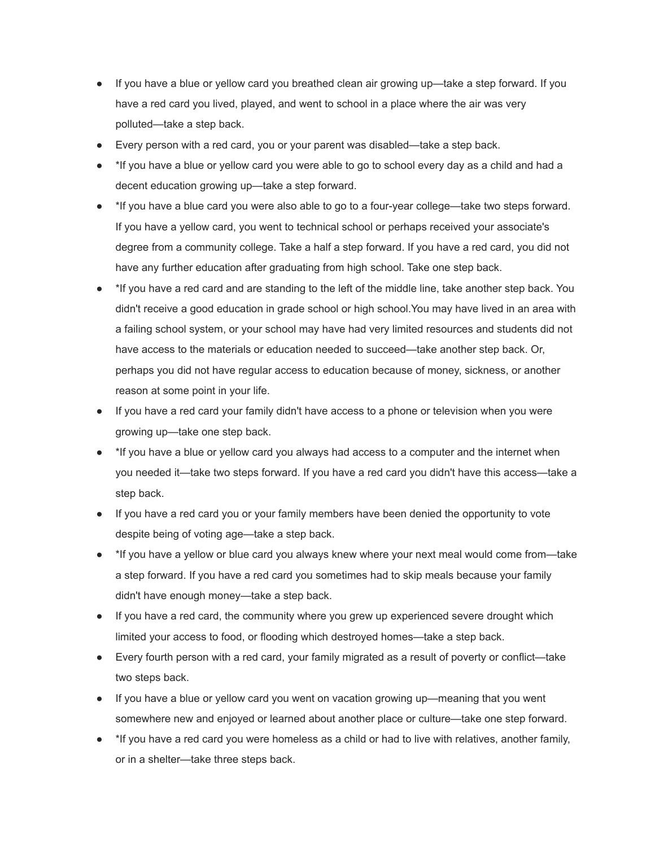- If you have a blue or yellow card you breathed clean air growing up—take a step forward. If you have a red card you lived, played, and went to school in a place where the air was very polluted—take a step back.
- Every person with a red card, you or your parent was disabled—take a step back.
- \*If you have a blue or yellow card you were able to go to school every day as a child and had a decent education growing up—take a step forward.
- \*If you have a blue card you were also able to go to a four-year college—take two steps forward. If you have a yellow card, you went to technical school or perhaps received your associate's degree from a community college. Take a half a step forward. If you have a red card, you did not have any further education after graduating from high school. Take one step back.
- \*If you have a red card and are standing to the left of the middle line, take another step back. You didn't receive a good education in grade school or high school.You may have lived in an area with a failing school system, or your school may have had very limited resources and students did not have access to the materials or education needed to succeed—take another step back. Or, perhaps you did not have regular access to education because of money, sickness, or another reason at some point in your life.
- If you have a red card your family didn't have access to a phone or television when you were growing up—take one step back.
- <sup>\*</sup>If you have a blue or yellow card you always had access to a computer and the internet when you needed it—take two steps forward. If you have a red card you didn't have this access—take a step back.
- If you have a red card you or your family members have been denied the opportunity to vote despite being of voting age—take a step back.
- \*If you have a yellow or blue card you always knew where your next meal would come from—take a step forward. If you have a red card you sometimes had to skip meals because your family didn't have enough money—take a step back.
- If you have a red card, the community where you grew up experienced severe drought which limited your access to food, or flooding which destroyed homes—take a step back.
- Every fourth person with a red card, your family migrated as a result of poverty or conflict—take two steps back.
- If you have a blue or yellow card you went on vacation growing up—meaning that you went somewhere new and enjoyed or learned about another place or culture—take one step forward.
- \*If you have a red card you were homeless as a child or had to live with relatives, another family, or in a shelter—take three steps back.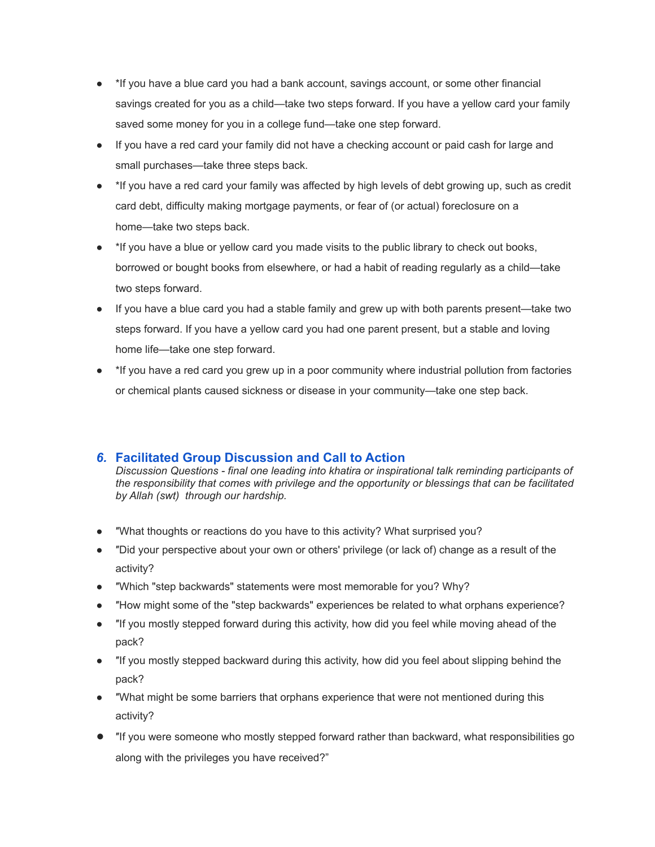- <sup>\*</sup>If you have a blue card you had a bank account, savings account, or some other financial savings created for you as a child—take two steps forward. If you have a yellow card your family saved some money for you in a college fund—take one step forward.
- If you have a red card your family did not have a checking account or paid cash for large and small purchases—take three steps back.
- \*If you have a red card your family was affected by high levels of debt growing up, such as credit card debt, difficulty making mortgage payments, or fear of (or actual) foreclosure on a home—take two steps back.
- \*If you have a blue or yellow card you made visits to the public library to check out books, borrowed or bought books from elsewhere, or had a habit of reading regularly as a child—take two steps forward.
- If you have a blue card you had a stable family and grew up with both parents present—take two steps forward. If you have a yellow card you had one parent present, but a stable and loving home life—take one step forward.
- \*If you have a red card you grew up in a poor community where industrial pollution from factories or chemical plants caused sickness or disease in your community—take one step back.

## *6.* **Facilitated Group Discussion and Call to Action**

*Discussion Questions - final one leading into khatira or inspirational talk reminding participants of the responsibility that comes with privilege and the opportunity or blessings that can be facilitated by Allah (swt) through our hardship.*

- ″What thoughts or reactions do you have to this activity? What surprised you?
- ″Did your perspective about your own or others' privilege (or lack of) change as a result of the activity?
- ″Which "step backwards" statements were most memorable for you? Why?
- "How might some of the "step backwards" experiences be related to what orphans experience?
- ″If you mostly stepped forward during this activity, how did you feel while moving ahead of the pack?
- ″If you mostly stepped backward during this activity, how did you feel about slipping behind the pack?
- ″What might be some barriers that orphans experience that were not mentioned during this activity?
- ″If you were someone who mostly stepped forward rather than backward, what responsibilities go along with the privileges you have received?"